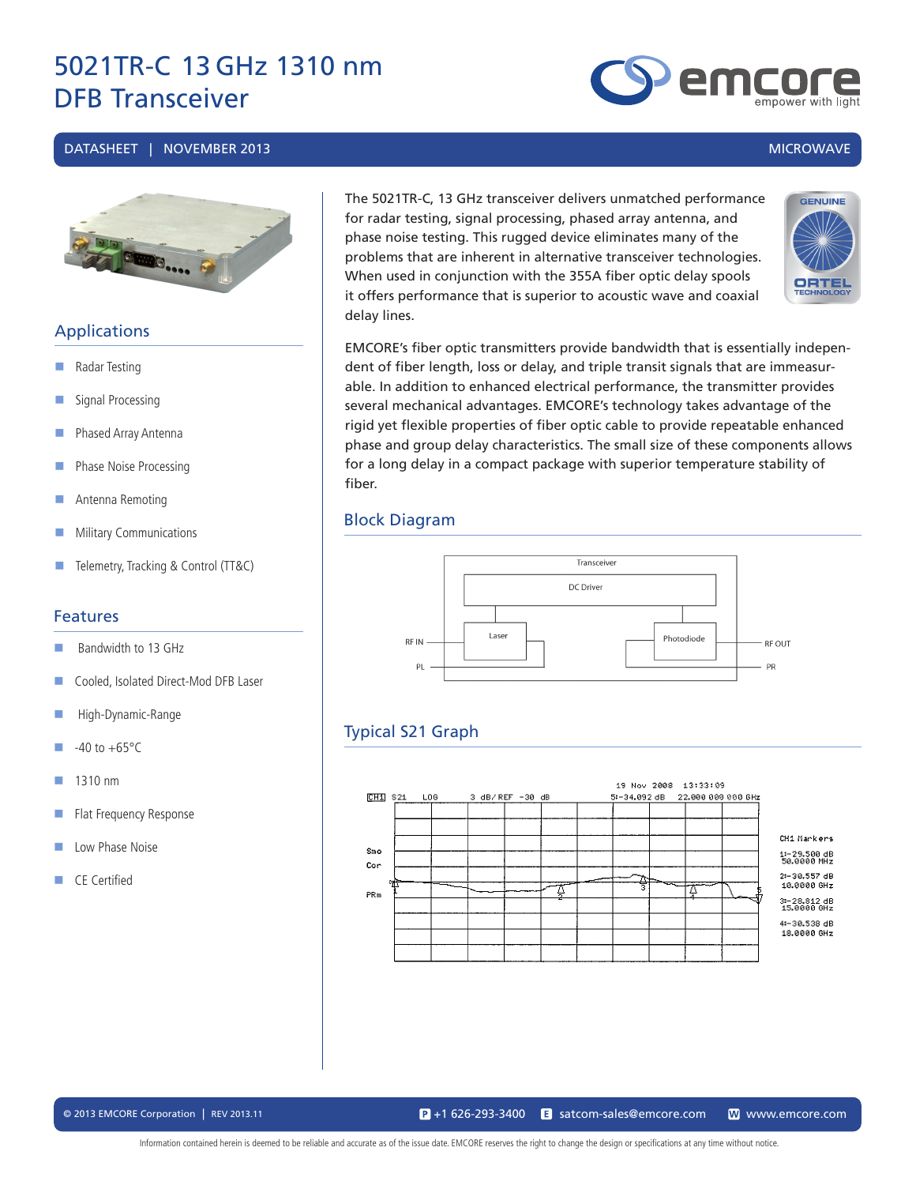#### DATASHEET | NOVEMBER 2013 MICROWAVE



### **Applications**

- Radar Testing
- Signal Processing
- **Phased Array Antenna**
- Phase Noise Processing
- **Antenna Remoting**
- **Military Communications**
- **Telemetry, Tracking & Control (TT&C)**

### Features

- Bandwidth to 13 GHz
- Cooled, Isolated Direct-Mod DFB Laser
- **High-Dynamic-Range**
- $-40$  to  $+65$ °C
- $\blacksquare$  1310 nm
- **Flat Frequency Response**
- **Low Phase Noise**
- CE Certified

The 5021TR-C, 13 GHz transceiver delivers unmatched performance for radar testing, signal processing, phased array antenna, and phase noise testing. This rugged device eliminates many of the problems that are inherent in alternative transceiver technologies. When used in conjunction with the 355A fiber optic delay spools it offers performance that is superior to acoustic wave and coaxial delay lines.



EMCORE's fiber optic transmitters provide bandwidth that is essentially independent of fiber length, loss or delay, and triple transit signals that are immeasurable. In addition to enhanced electrical performance, the transmitter provides several mechanical advantages. EMCORE's technology takes advantage of the rigid yet flexible properties of fiber optic cable to provide repeatable enhanced phase and group delay characteristics. The small size of these components allows for a long delay in a compact package with superior temperature stability of fiber.

### Block Diagram



### Typical S21 Graph



emc

© 2013 EMCORE Corporation | REV 2013.11 satcom-sales@emcore.com W www.emcore.com www.emcore.com www.emcore.com  $\mathbf{P}_{1}$  +1 626-293-3400

Information contained herein is deemed to be reliable and accurate as of the issue date. EMCORE reserves the right to change the design or specifications at any time without notice.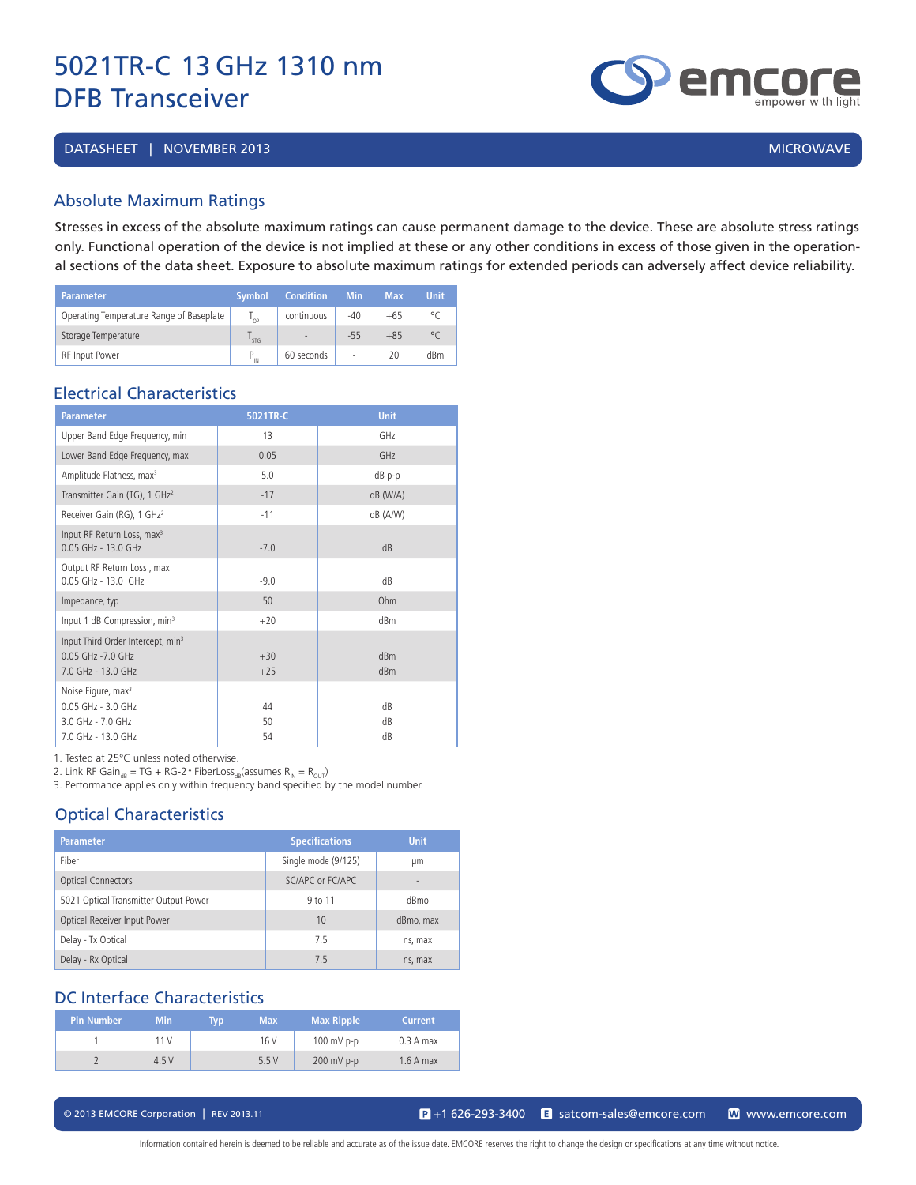DATASHEET | NOVEMBER 2013 | MICROWAVE | 2009 | MICROWAVE | 2009 | MICROWAVE | 2009 | MICROWAVE

### Absolute Maximum Ratings

Stresses in excess of the absolute maximum ratings can cause permanent damage to the device. These are absolute stress ratings only. Functional operation of the device is not implied at these or any other conditions in excess of those given in the operational sections of the data sheet. Exposure to absolute maximum ratings for extended periods can adversely affect device reliability.

| <b>Parameter</b>                         | <b>Symbol</b>   | <b>Condition</b>         | <b>Min</b> | Max   | <b>Unit</b> |
|------------------------------------------|-----------------|--------------------------|------------|-------|-------------|
| Operating Temperature Range of Baseplate | י∩ <sup>ו</sup> | continuous               | $-40$      | $+65$ | $\circ$     |
| Storage Temperature                      | STG             | $\overline{\phantom{a}}$ | $-55$      | $+85$ | $^{\circ}$  |
| <b>RF</b> Input Power                    | IN              | 60 seconds               | ٠          | 20    | dBm         |

### Electrical Characteristics

| <b>Parameter</b>                                                                                    | 5021TR-C       | <b>Unit</b>     |
|-----------------------------------------------------------------------------------------------------|----------------|-----------------|
| Upper Band Edge Frequency, min                                                                      | 13             | GH <sub>7</sub> |
| Lower Band Edge Frequency, max                                                                      | 0.05           | GHz             |
| Amplitude Flatness, max <sup>3</sup>                                                                | 5.0            | $dB$ p-p        |
| Transmitter Gain (TG), 1 GHz <sup>2</sup>                                                           | $-17$          | $dB$ (W/A)      |
| Receiver Gain (RG), 1 GHz <sup>2</sup>                                                              | $-11$          | dB (A/W)        |
| Input RF Return Loss, max <sup>3</sup><br>0.05 GHz - 13.0 GHz                                       | $-7.0$         | dB              |
| Output RF Return Loss, max<br>$0.05$ GHz - 13.0 GHz                                                 | $-9.0$         | dB              |
| Impedance, typ                                                                                      | 50             | Ohm             |
| Input 1 dB Compression, min <sup>3</sup>                                                            | $+20$          | dBm             |
| Input Third Order Intercept, min <sup>3</sup><br>$0.05$ GHz - $7.0$ GHz<br>7.0 GHz - 13.0 GHz       | $+30$<br>$+25$ | dBm<br>dBm      |
| Noise Figure, max <sup>3</sup><br>$0.05$ GHz - $3.0$ GHz<br>3.0 GHz - 7.0 GHz<br>7.0 GHz - 13.0 GHz | 44<br>50<br>54 | dB<br>dB<br>dB  |

1. Tested at 25°C unless noted otherwise.

2. Link RF Gain<sub>dB</sub> = TG + RG-2\* FiberLoss<sub>dB</sub>(assumes  $R_{IN} = R_{OUT}$ )

3. Performance applies only within frequency band specified by the model number.

### Optical Characteristics

| <b>Parameter</b>                      | <b>Specifications</b> | <b>Unit</b>              |
|---------------------------------------|-----------------------|--------------------------|
| Fiber                                 | Single mode (9/125)   | μm                       |
| <b>Optical Connectors</b>             | SC/APC or FC/APC      | $\overline{\phantom{a}}$ |
| 5021 Optical Transmitter Output Power | 9 to 11               | dBmo                     |
| Optical Receiver Input Power          | 10                    | dBmo, max                |
| Delay - Tx Optical                    | 75                    | ns, max                  |
| Delay - Rx Optical                    | 7.5                   | ns, max                  |

### DC Interface Characteristics

| Pin Number | <b>Min</b> | Typ | <b>Max</b> | <b>Max Ripple</b> | <b>Current</b> |
|------------|------------|-----|------------|-------------------|----------------|
|            | 11V        |     | 16 V       | $100$ mV p-p      | $0.3A$ max     |
|            | 4.5V       |     | 5.5V       | $200$ mV p-p      | $1.6A$ max     |

© 2013 EMCORE Corporation | REV 2013.11 satcom-sales@emcore.com and www.emcore.com www.emcore.com www.emcore.com

Information contained herein is deemed to be reliable and accurate as of the issue date. EMCORE reserves the right to change the design or specifications at any time without notice.

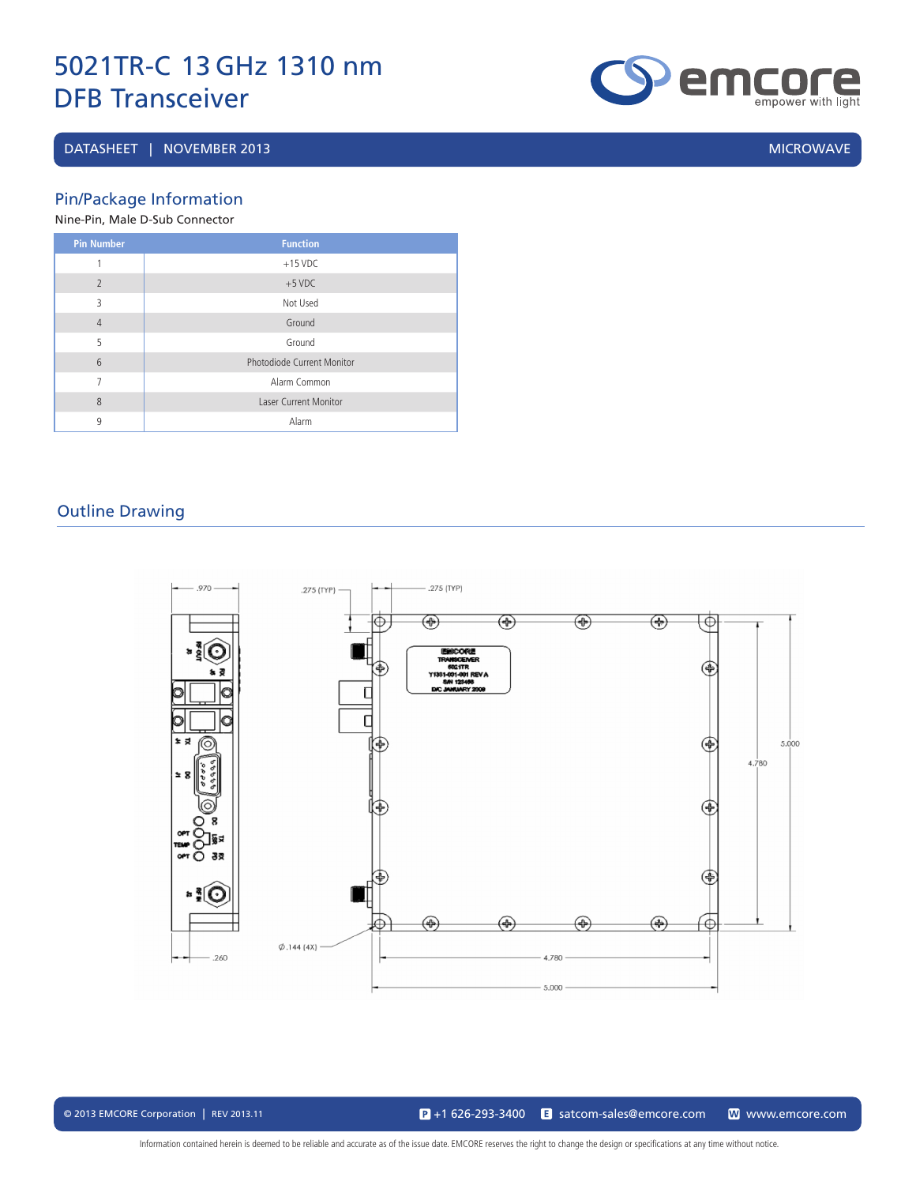### DATASHEET | NOVEMBER 2013 | MICROWAVE | MICROWAVE | MICROWAVE | MICROWAVE | MICROWAVE

**enpower with light** 

Pin/Package Information

Nine-Pin, Male D-Sub Connector

| <b>Pin Number</b> | <b>Function</b>              |
|-------------------|------------------------------|
| 1                 | $+15$ VDC                    |
| $\overline{2}$    | $+5$ VDC                     |
| 3                 | Not Used                     |
| $\overline{4}$    | Ground                       |
| 5                 | Ground                       |
| 6                 | Photodiode Current Monitor   |
| 7                 | Alarm Common                 |
| 8                 | <b>Laser Current Monitor</b> |
| 9                 | Alarm                        |

### Outline Drawing



© 2013 EMCORE Corporation | REV 2013.11 satcom-sales@emcore.com and www.emcore.com www.emcore.com www.emcore.com